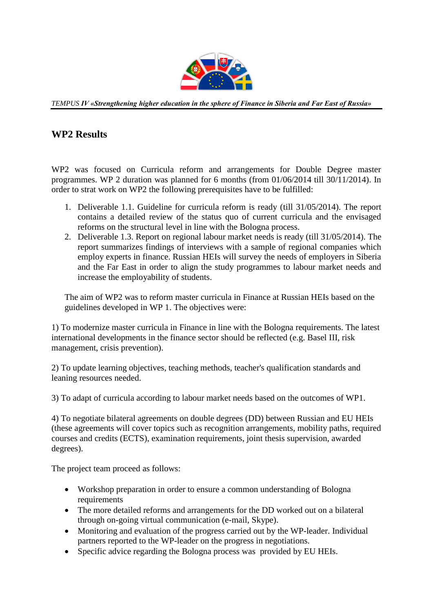

*TEMPUS IV «Strengthening higher education in the sphere of Finance in Siberia and Far East of Russia»*

## **WP2 Results**

WP2 was focused on Curricula reform and arrangements for Double Degree master programmes. WP 2 duration was planned for 6 months (from 01/06/2014 till 30/11/2014). In order to strat work on WP2 the following prerequisites have to be fulfilled:

- 1. Deliverable 1.1. Guideline for curricula reform is ready (till 31/05/2014). The report contains a detailed review of the status quo of current curricula and the envisaged reforms on the structural level in line with the Bologna process.
- 2. Deliverable 1.3. Report on regional labour market needs is ready (till 31/05/2014). The report summarizes findings of interviews with a sample of regional companies which employ experts in finance. Russian HEIs will survey the needs of employers in Siberia and the Far East in order to align the study programmes to labour market needs and increase the employability of students.

The aim of WP2 was to reform master curricula in Finance at Russian HEIs based on the guidelines developed in WP 1. The objectives were:

1) To modernize master curricula in Finance in line with the Bologna requirements. The latest international developments in the finance sector should be reflected (e.g. Basel III, risk management, crisis prevention).

2) To update learning objectives, teaching methods, teacher's qualification standards and leaning resources needed.

3) To adapt of curricula according to labour market needs based on the outcomes of WP1.

4) To negotiate bilateral agreements on double degrees (DD) between Russian and EU HEIs (these agreements will cover topics such as recognition arrangements, mobility paths, required courses and credits (ECTS), examination requirements, joint thesis supervision, awarded degrees).

The project team proceed as follows:

- Workshop preparation in order to ensure a common understanding of Bologna requirements
- The more detailed reforms and arrangements for the DD worked out on a bilateral through on-going virtual communication (e-mail, Skype).
- Monitoring and evaluation of the progress carried out by the WP-leader. Individual partners reported to the WP-leader on the progress in negotiations.
- Specific advice regarding the Bologna process was provided by EU HEIs.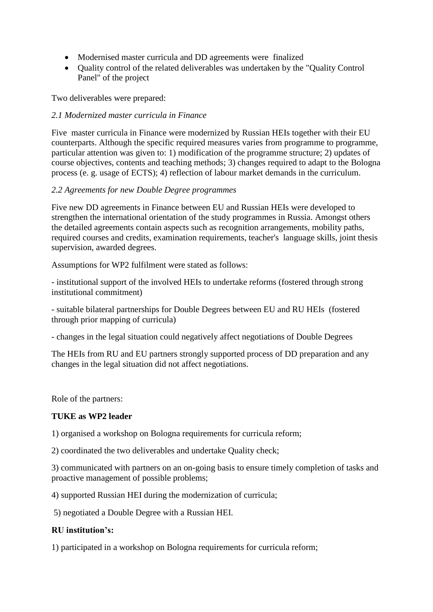- Modernised master curricula and DD agreements were finalized
- Quality control of the related deliverables was undertaken by the "Quality Control Panel" of the project

Two deliverables were prepared:

#### *2.1 Modernized master curricula in Finance*

Five master curricula in Finance were modernized by Russian HEIs together with their EU counterparts. Although the specific required measures varies from programme to programme, particular attention was given to: 1) modification of the programme structure; 2) updates of course objectives, contents and teaching methods; 3) changes required to adapt to the Bologna process (e. g. usage of ECTS); 4) reflection of labour market demands in the curriculum.

#### *2.2 Agreements for new Double Degree programmes*

Five new DD agreements in Finance between EU and Russian HEIs were developed to strengthen the international orientation of the study programmes in Russia. Amongst others the detailed agreements contain aspects such as recognition arrangements, mobility paths, required courses and credits, examination requirements, teacher's language skills, joint thesis supervision, awarded degrees.

Assumptions for WP2 fulfilment were stated as follows:

- institutional support of the involved HEIs to undertake reforms (fostered through strong institutional commitment)

- suitable bilateral partnerships for Double Degrees between EU and RU HEIs (fostered through prior mapping of curricula)

- changes in the legal situation could negatively affect negotiations of Double Degrees

The HEIs from RU and EU partners strongly supported process of DD preparation and any changes in the legal situation did not affect negotiations.

Role of the partners:

#### **TUKE as WP2 leader**

1) organised a workshop on Bologna requirements for curricula reform;

2) coordinated the two deliverables and undertake Quality check;

3) communicated with partners on an on-going basis to ensure timely completion of tasks and proactive management of possible problems;

4) supported Russian HEI during the modernization of curricula;

5) negotiated a Double Degree with a Russian HEI.

#### **RU institution's:**

1) participated in a workshop on Bologna requirements for curricula reform;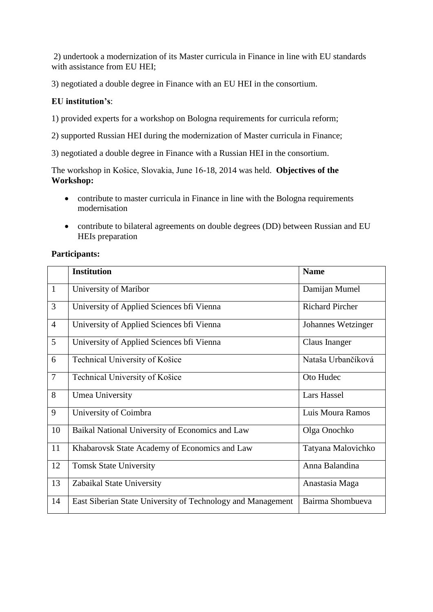2) undertook a modernization of its Master curricula in Finance in line with EU standards with assistance from EU HEI;

3) negotiated a double degree in Finance with an EU HEI in the consortium.

### **EU institution's**:

1) provided experts for a workshop on Bologna requirements for curricula reform;

2) supported Russian HEI during the modernization of Master curricula in Finance;

3) negotiated a double degree in Finance with a Russian HEI in the consortium.

The workshop in Košice, Slovakia, June 16-18, 2014 was held. **Objectives of the Workshop:**

- contribute to master curricula in Finance in line with the Bologna requirements modernisation
- contribute to bilateral agreements on double degrees (DD) between Russian and EU HEIs preparation

#### **Participants:**

|                | <b>Institution</b>                                          | <b>Name</b>            |
|----------------|-------------------------------------------------------------|------------------------|
| $\mathbf{1}$   | University of Maribor                                       | Damijan Mumel          |
| 3              | University of Applied Sciences bfi Vienna                   | <b>Richard Pircher</b> |
| $\overline{4}$ | University of Applied Sciences bfi Vienna                   | Johannes Wetzinger     |
| 5              | University of Applied Sciences bfi Vienna                   | Claus Inanger          |
| 6              | Technical University of Košice                              | Nataša Urbančíková     |
| $\tau$         | Technical University of Košice                              | Oto Hudec              |
| 8              | Umea University                                             | Lars Hassel            |
| 9              | University of Coimbra                                       | Luis Moura Ramos       |
| 10             | Baikal National University of Economics and Law             | Olga Onochko           |
| 11             | Khabarovsk State Academy of Economics and Law               | Tatyana Malovichko     |
| 12             | <b>Tomsk State University</b>                               | Anna Balandina         |
| 13             | Zabaikal State University                                   | Anastasia Maga         |
| 14             | East Siberian State University of Technology and Management | Bairma Shombueva       |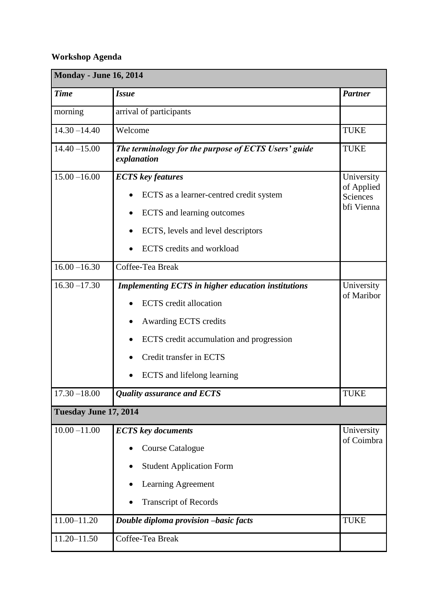# **Workshop Agenda**

| <b>Monday - June 16, 2014</b> |                                                                     |                          |  |  |
|-------------------------------|---------------------------------------------------------------------|--------------------------|--|--|
| <b>Time</b>                   | <b>Issue</b>                                                        | <b>Partner</b>           |  |  |
| morning                       | arrival of participants                                             |                          |  |  |
| $14.30 - 14.40$               | Welcome                                                             | <b>TUKE</b>              |  |  |
| $14.40 - 15.00$               | The terminology for the purpose of ECTS Users' guide<br>explanation | <b>TUKE</b>              |  |  |
| $15.00 - 16.00$               | <b>ECTS</b> key features                                            | University<br>of Applied |  |  |
|                               | ECTS as a learner-centred credit system                             | Sciences                 |  |  |
|                               | ECTS and learning outcomes                                          | bfi Vienna               |  |  |
|                               | ECTS, levels and level descriptors                                  |                          |  |  |
|                               | <b>ECTS</b> credits and workload                                    |                          |  |  |
| $16.00 - 16.30$               | Coffee-Tea Break                                                    |                          |  |  |
| $16.30 - 17.30$               | <b>Implementing ECTS in higher education institutions</b>           | University<br>of Maribor |  |  |
|                               | <b>ECTS</b> credit allocation                                       |                          |  |  |
|                               | Awarding ECTS credits                                               |                          |  |  |
|                               | ECTS credit accumulation and progression                            |                          |  |  |
|                               | Credit transfer in ECTS                                             |                          |  |  |
|                               | ECTS and lifelong learning                                          |                          |  |  |
| $17.30 - 18.00$               | <b>Quality assurance and ECTS</b>                                   | <b>TUKE</b>              |  |  |
| Tuesday June 17, 2014         |                                                                     |                          |  |  |
| $10.00 - 11.00$               | <b>ECTS</b> key documents                                           | University<br>of Coimbra |  |  |
|                               | <b>Course Catalogue</b>                                             |                          |  |  |
|                               | <b>Student Application Form</b>                                     |                          |  |  |
|                               | Learning Agreement                                                  |                          |  |  |
|                               | <b>Transcript of Records</b>                                        |                          |  |  |
| $11.00 - 11.20$               | Double diploma provision -basic facts                               | <b>TUKE</b>              |  |  |
| $11.20 - 11.50$               | Coffee-Tea Break                                                    |                          |  |  |